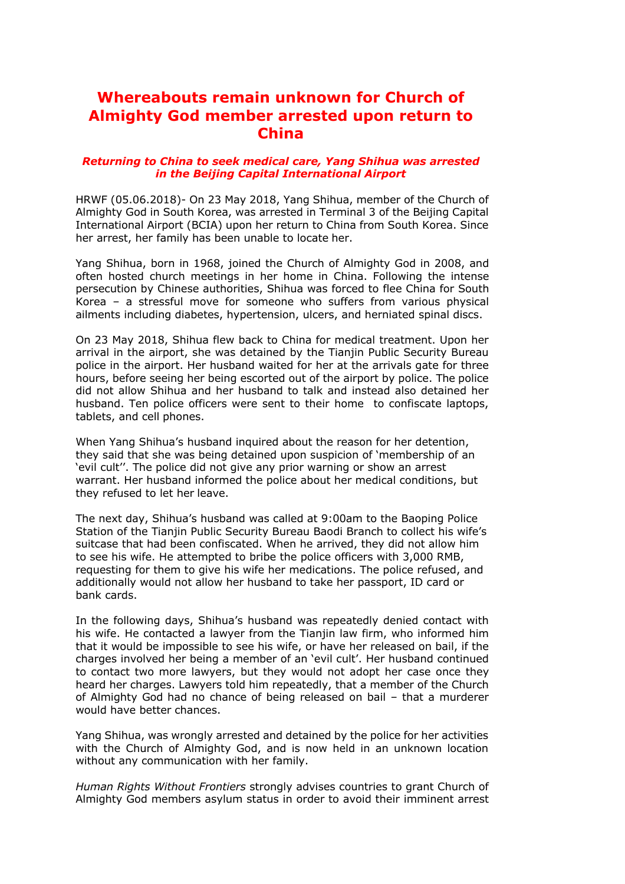## **Whereabouts remain unknown for Church of Almighty God member arrested upon return to China**

## *Returning to China to seek medical care, Yang Shihua was arrested in the Beijing Capital International Airport*

HRWF (05.06.2018)- On 23 May 2018, Yang Shihua, member of the Church of Almighty God in South Korea, was arrested in Terminal 3 of the Beijing Capital International Airport (BCIA) upon her return to China from South Korea. Since her arrest, her family has been unable to locate her.

Yang Shihua, born in 1968, joined the Church of Almighty God in 2008, and often hosted church meetings in her home in China. Following the intense persecution by Chinese authorities, Shihua was forced to flee China for South Korea – a stressful move for someone who suffers from various physical ailments including diabetes, hypertension, ulcers, and herniated spinal discs.

On 23 May 2018, Shihua flew back to China for medical treatment. Upon her arrival in the airport, she was detained by the Tianjin Public Security Bureau police in the airport. Her husband waited for her at the arrivals gate for three hours, before seeing her being escorted out of the airport by police. The police did not allow Shihua and her husband to talk and instead also detained her husband. Ten police officers were sent to their home to confiscate laptops, tablets, and cell phones.

When Yang Shihua's husband inquired about the reason for her detention, they said that she was being detained upon suspicion of 'membership of an 'evil cult''. The police did not give any prior warning or show an arrest warrant. Her husband informed the police about her medical conditions, but they refused to let her leave.

The next day, Shihua's husband was called at 9:00am to the Baoping Police Station of the Tianjin Public Security Bureau Baodi Branch to collect his wife's suitcase that had been confiscated. When he arrived, they did not allow him to see his wife. He attempted to bribe the police officers with 3,000 RMB, requesting for them to give his wife her medications. The police refused, and additionally would not allow her husband to take her passport, ID card or bank cards.

In the following days, Shihua's husband was repeatedly denied contact with his wife. He contacted a lawyer from the Tianjin law firm, who informed him that it would be impossible to see his wife, or have her released on bail, if the charges involved her being a member of an 'evil cult'. Her husband continued to contact two more lawyers, but they would not adopt her case once they heard her charges. Lawyers told him repeatedly, that a member of the Church of Almighty God had no chance of being released on bail – that a murderer would have better chances.

Yang Shihua, was wrongly arrested and detained by the police for her activities with the Church of Almighty God, and is now held in an unknown location without any communication with her family.

*Human Rights Without Frontiers* strongly advises countries to grant Church of Almighty God members asylum status in order to avoid their imminent arrest